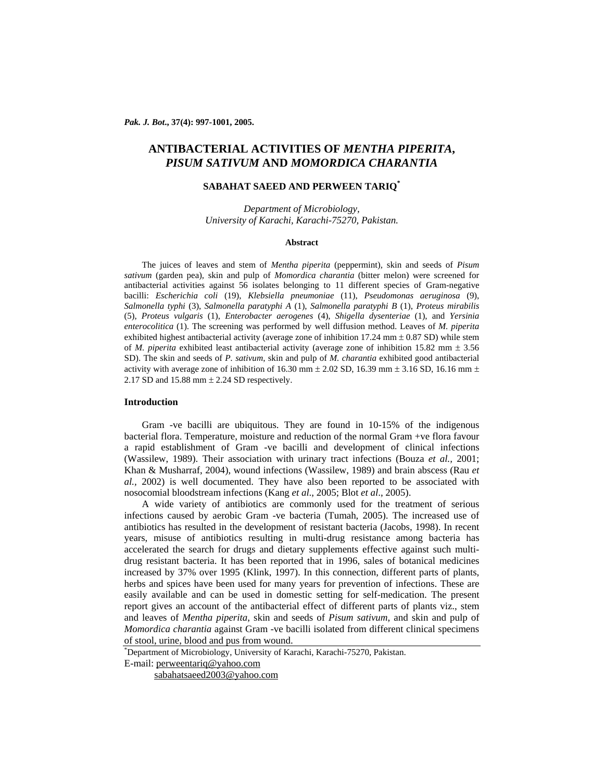*Pak. J. Bot***., 37(4): 997-1001, 2005.** 

# **ANTIBACTERIAL ACTIVITIES OF** *MENTHA PIPERITA***,**  *PISUM SATIVUM* **AND** *MOMORDICA CHARANTIA*

# **SABAHAT SAEED AND PERWEEN TARIQ\***

*Department of Microbiology, University of Karachi, Karachi-75270, Pakistan.* 

### **Abstract**

The juices of leaves and stem of *Mentha piperita* (peppermint)*,* skin and seeds of *Pisum sativum* (garden pea)*,* skin and pulp of *Momordica charantia* (bitter melon) were screened for antibacterial activities against 56 isolates belonging to 11 different species of Gram-negative bacilli: *Escherichia coli* (19), *Klebsiella pneumoniae* (11), *Pseudomonas aeruginosa* (9), *Salmonella typhi* (3), *Salmonella paratyphi A* (1), *Salmonella paratyphi B* (1), *Proteus mirabilis*  (5), *Proteus vulgaris* (1), *Enterobacter aerogenes* (4), *Shigella dysenteriae* (1), and *Yersinia enterocolitica* (1). The screening was performed by well diffusion method. Leaves of *M. piperita* exhibited highest antibacterial activity (average zone of inhibition  $17.24$  mm  $\pm$  0.87 SD) while stem of *M. piperita* exhibited least antibacterial activity (average zone of inhibition 15.82 mm ± 3.56 SD). The skin and seeds of *P. sativum*, skin and pulp of *M. charantia* exhibited good antibacterial activity with average zone of inhibition of 16.30 mm  $\pm$  2.02 SD, 16.39 mm  $\pm$  3.16 SD, 16.16 mm  $\pm$ 2.17 SD and 15.88 mm ± 2.24 SD respectively.

# **Introduction**

Gram -ve bacilli are ubiquitous. They are found in 10-15% of the indigenous bacterial flora. Temperature, moisture and reduction of the normal Gram +ve flora favour a rapid establishment of Gram -ve bacilli and development of clinical infections (Wassilew, 1989). Their association with urinary tract infections (Bouza *et al.,* 2001; Khan & Musharraf, 2004), wound infections (Wassilew, 1989) and brain abscess (Rau *et al.,* 2002) is well documented. They have also been reported to be associated with nosocomial bloodstream infections (Kang *et al*., 2005; Blot *et al*., 2005).

A wide variety of antibiotics are commonly used for the treatment of serious infections caused by aerobic Gram -ve bacteria (Tumah, 2005). The increased use of antibiotics has resulted in the development of resistant bacteria (Jacobs, 1998). In recent years, misuse of antibiotics resulting in multi-drug resistance among bacteria has accelerated the search for drugs and dietary supplements effective against such multidrug resistant bacteria. It has been reported that in 1996, sales of botanical medicines increased by 37% over 1995 (Klink, 1997). In this connection, different parts of plants, herbs and spices have been used for many years for prevention of infections. These are easily available and can be used in domestic setting for self-medication. The present report gives an account of the antibacterial effect of different parts of plants viz., stem and leaves of *Mentha piperita*, skin and seeds of *Pisum sativum*, and skin and pulp of *Momordica charantia* against Gram -ve bacilli isolated from different clinical specimens of stool, urine, blood and pus from wound.

E-mail: perweentariq@yahoo.com

sabahatsaeed2003@yahoo.com

<sup>\*</sup> Department of Microbiology, University of Karachi, Karachi-75270, Pakistan.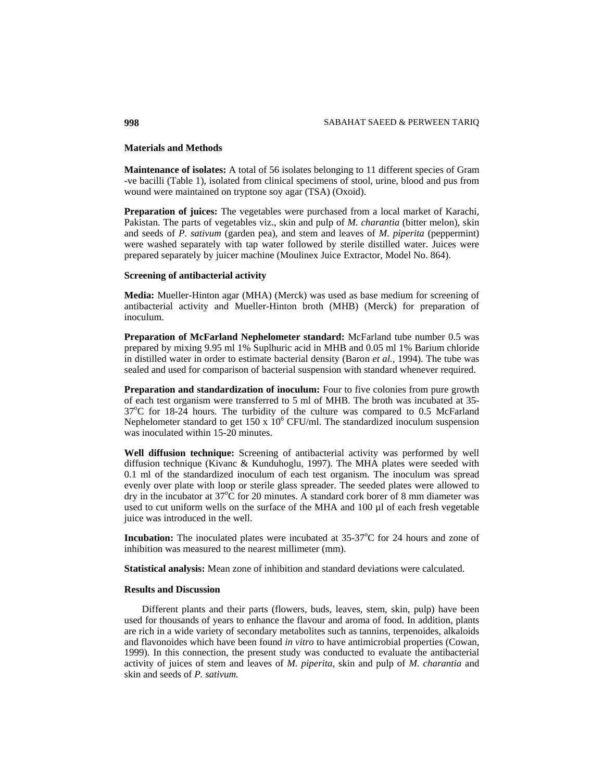### **Materials and Methods**

**Maintenance of isolates:** A total of 56 isolates belonging to 11 different species of Gram -ve bacilli (Table 1), isolated from clinical specimens of stool, urine, blood and pus from wound were maintained on tryptone soy agar (TSA) (Oxoid).

**Preparation of juices:** The vegetables were purchased from a local market of Karachi, Pakistan. The parts of vegetables viz., skin and pulp of *M. charantia* (bitter melon)*,* skin and seeds of *P. sativum* (garden pea), and stem and leaves of *M. piperita* (peppermint) were washed separately with tap water followed by sterile distilled water. Juices were prepared separately by juicer machine (Moulinex Juice Extractor, Model No. 864).

# **Screening of antibacterial activity**

**Media:** Mueller-Hinton agar (MHA) (Merck) was used as base medium for screening of antibacterial activity and Mueller-Hinton broth (MHB) (Merck) for preparation of inoculum.

**Preparation of McFarland Nephelometer standard:** McFarland tube number 0.5 was prepared by mixing 9.95 ml 1% Suplhuric acid in MHB and 0.05 ml 1% Barium chloride in distilled water in order to estimate bacterial density (Baron *et al.,* 1994). The tube was sealed and used for comparison of bacterial suspension with standard whenever required.

Preparation and standardization of inoculum: Four to five colonies from pure growth of each test organism were transferred to 5 ml of MHB. The broth was incubated at 35-  $37^{\circ}$ C for 18-24 hours. The turbidity of the culture was compared to 0.5 McFarland Nephelometer standard to get  $150 \times 10^6$  CFU/ml. The standardized inoculum suspension was inoculated within 15-20 minutes.

**Well diffusion technique:** Screening of antibacterial activity was performed by well diffusion technique (Kivanc & Kunduhoglu, 1997). The MHA plates were seeded with 0.1 ml of the standardized inoculum of each test organism. The inoculum was spread evenly over plate with loop or sterile glass spreader. The seeded plates were allowed to dry in the incubator at  $37^{\circ}$ C for 20 minutes. A standard cork borer of 8 mm diameter was used to cut uniform wells on the surface of the MHA and 100 µl of each fresh vegetable juice was introduced in the well.

**Incubation:** The inoculated plates were incubated at 35-37°C for 24 hours and zone of inhibition was measured to the nearest millimeter (mm).

**Statistical analysis:** Mean zone of inhibition and standard deviations were calculated.

### **Results and Discussion**

Different plants and their parts (flowers, buds, leaves, stem, skin, pulp) have been used for thousands of years to enhance the flavour and aroma of food. In addition, plants are rich in a wide variety of secondary metabolites such as tannins, terpenoides, alkaloids and flavonoides which have been found *in vitro* to have antimicrobial properties (Cowan, 1999). In this connection, the present study was conducted to evaluate the antibacterial activity of juices of stem and leaves of *M. piperita*, skin and pulp of *M. charantia* and skin and seeds of *P. sativum.*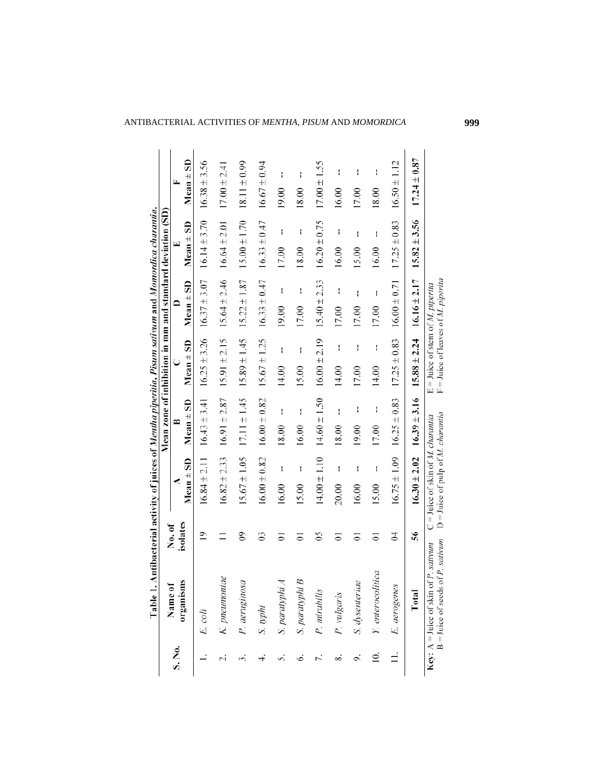| S. No.         |                                                                                                       |                |                                                                                         |                  |                                                                                   |                  | Mean zone of inhibition in mm and standard deviation (SD) |                  |
|----------------|-------------------------------------------------------------------------------------------------------|----------------|-----------------------------------------------------------------------------------------|------------------|-----------------------------------------------------------------------------------|------------------|-----------------------------------------------------------|------------------|
|                | Name of                                                                                               | No. of         |                                                                                         |                  | C                                                                                 |                  | ⊡                                                         | Þ                |
|                | organisms                                                                                             | isolates       | $Mean + SD$                                                                             | $Mean \pm SD$    | $Mean \pm SD$                                                                     | $Mean \pm SD$    | SD<br>$Mean \pm$                                          | SD<br>$Mean \pm$ |
|                | E. coli                                                                                               | $\overline{9}$ | $16.84 \pm 2.11$                                                                        | $16.43 \pm 3.41$ | $16.25 \pm 3.26$                                                                  | $16.37 \pm 3.07$ | $16.14 \pm 3.70$                                          | $16.38 \pm 3.56$ |
| 2.             | K. pneumoniae                                                                                         |                | $16.82 \pm 2.33$                                                                        | $16.91 \pm 2.87$ | $15.91 \pm 2.15$                                                                  | $15.64 \pm 2.46$ | $16.64 \pm 2.01$                                          | $17.00 \pm 2.41$ |
|                | P. aeruginosa                                                                                         | కి             | $15.67 \pm 1.05$                                                                        | $17.11 \pm 1.45$ | $15.89 \pm 1.45$                                                                  | $15.22 \pm 1.87$ | $15.00 \pm 1.70$                                          | $18.11 \pm 0.99$ |
|                | S. typhi                                                                                              | S              | $16.00 \pm 0.82$                                                                        | $16.00 \pm 0.82$ | $15.67 \pm 1.25$                                                                  | $16.33 \pm 0.47$ | $16.33 \pm 0.47$                                          | $16.67 \pm 0.94$ |
| 5.             | S. paratyphi A                                                                                        | 5              | ł<br>16.00                                                                              | ł<br>18.00       | ł<br>14.00                                                                        | ł<br>19.00       | ł<br>17.00                                                | H<br>19.00       |
| Ġ.             | B<br>S. paratyphi                                                                                     | 5              | ł<br>15.00                                                                              | H<br>16.00       | I<br>15.00                                                                        | I<br>17.00       | ł<br>18.00                                                | H<br>18.00       |
|                | P. mirabilis                                                                                          | SO             | $14.00 \pm 1.10$                                                                        | $14.60 \pm 1.50$ | $16.00 \pm 2.19$                                                                  | $15.40 \pm 2.33$ | $16.20 \pm 0.75$                                          | $17.00 \pm 1.55$ |
| 8.             | P. vulgaris                                                                                           | 5              | ł<br>20.00                                                                              | ł<br>18.00       | ł<br>14.00                                                                        | I<br>17.00       | ł<br>16.00                                                | t<br>16.00       |
| 9.             | S. dysenteriae                                                                                        | 5              | ł<br>16.00                                                                              | I<br>19.00       | I<br>17.00                                                                        | I<br>17.00       | I<br>15.00                                                | I<br>17.00       |
| $\overline{0}$ | Y. enterocolitica                                                                                     | 5              | I<br>15.00                                                                              | I<br>17.00       | I<br>14.00                                                                        | I<br>17.00       | ł<br>16.00                                                | I<br>18.00       |
|                | E. aerogenes                                                                                          | 3              | $16.75 \pm 1.09$                                                                        | $16.25 \pm 0.83$ | $17.25 \pm 0.83$                                                                  | $16.00 \pm 0.71$ | $17.25 \pm 0.83$                                          | $16.50 \pm 1.12$ |
|                | Total                                                                                                 | 56             | $16.30 \pm 2.02$                                                                        | $16.39 \pm 3.16$ | $15.88 \pm 2.24$                                                                  | $16.16 \pm 2.17$ | $15.82 \pm 3.56$                                          | $17.24 \pm 0.87$ |
|                | of P. sativum<br><b>Key:</b> $A =$ Juice of skin of <i>P</i> . <i>sativum</i><br>$B = Juice$ of seeds |                | $D =$ Juice of pulp of <i>M. charantia</i><br>$C =$ Juice of skin of M <i>charantia</i> |                  | $F =$ Juice of leaves of M. piperita<br>$E =$ Juice of stem of <i>M. piperita</i> |                  |                                                           |                  |

ANTIBACTERIAL ACTIVITIES OF *MENTHA*, *PISUM* AND *MOMORDICA* **999**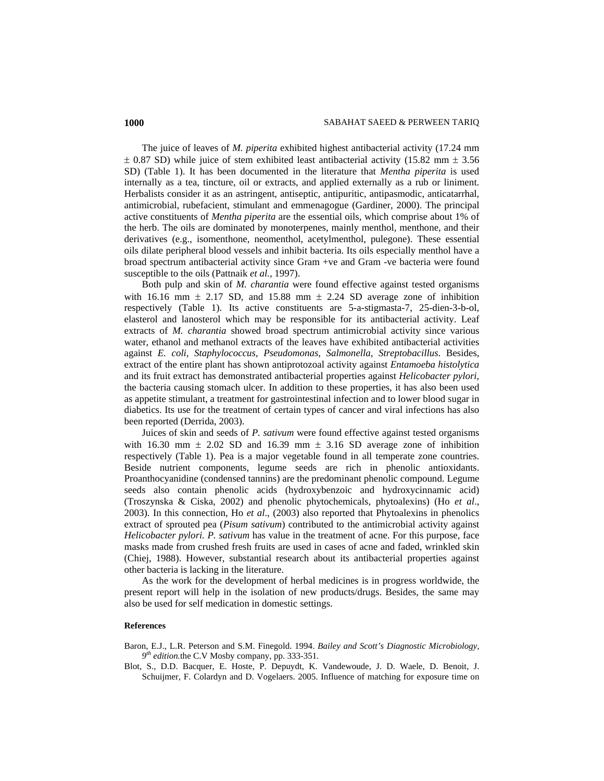The juice of leaves of *M. piperita* exhibited highest antibacterial activity (17.24 mm  $\pm$  0.87 SD) while juice of stem exhibited least antibacterial activity (15.82 mm  $\pm$  3.56 SD) (Table 1). It has been documented in the literature that *Mentha piperita* is used internally as a tea, tincture, oil or extracts, and applied externally as a rub or liniment. Herbalists consider it as an astringent, antiseptic, antipuritic, antipasmodic, anticatarrhal, antimicrobial, rubefacient, stimulant and emmenagogue (Gardiner, 2000). The principal active constituents of *Mentha piperita* are the essential oils, which comprise about 1% of the herb. The oils are dominated by monoterpenes, mainly menthol, menthone, and their derivatives (e.g., isomenthone, neomenthol, acetylmenthol, pulegone). These essential oils dilate peripheral blood vessels and inhibit bacteria. Its oils especially menthol have a broad spectrum antibacterial activity since Gram +ve and Gram -ve bacteria were found susceptible to the oils (Pattnaik *et al.,* 1997).

Both pulp and skin of *M. charantia* were found effective against tested organisms with 16.16 mm  $\pm$  2.17 SD, and 15.88 mm  $\pm$  2.24 SD average zone of inhibition respectively (Table 1). Its active constituents are 5-a-stigmasta-7, 25-dien-3-b-ol, elasterol and lanosterol which may be responsible for its antibacterial activity. Leaf extracts of *M. charantia* showed broad spectrum antimicrobial activity since various water, ethanol and methanol extracts of the leaves have exhibited antibacterial activities against *E. coli, Staphylococcus*, *Pseudomonas*, *Salmonella*, *Streptobacillus*. Besides, extract of the entire plant has shown antiprotozoal activity against *Entamoeba histolytica* and its fruit extract has demonstrated antibacterial properties against *Helicobacter pylori*, the bacteria causing stomach ulcer. In addition to these properties, it has also been used as appetite stimulant, a treatment for gastrointestinal infection and to lower blood sugar in diabetics. Its use for the treatment of certain types of cancer and viral infections has also been reported (Derrida, 2003).

Juices of skin and seeds of *P. sativum* were found effective against tested organisms with 16.30 mm  $\pm$  2.02 SD and 16.39 mm  $\pm$  3.16 SD average zone of inhibition respectively (Table 1). Pea is a major vegetable found in all temperate zone countries. Beside nutrient components, legume seeds are rich in phenolic antioxidants. Proanthocyanidine (condensed tannins) are the predominant phenolic compound. Legume seeds also contain phenolic acids (hydroxybenzoic and hydroxycinnamic acid) (Troszynska & Ciska, 2002) and phenolic phytochemicals, phytoalexins) (Ho *et al*., 2003). In this connection, Ho *et al*., (2003) also reported that Phytoalexins in phenolics extract of sprouted pea (*Pisum sativum*) contributed to the antimicrobial activity against *Helicobacter pylori. P. sativum* has value in the treatment of acne. For this purpose, face masks made from crushed fresh fruits are used in cases of acne and faded, wrinkled skin (Chiej, 1988). However, substantial research about its antibacterial properties against other bacteria is lacking in the literature.

As the work for the development of herbal medicines is in progress worldwide, the present report will help in the isolation of new products/drugs. Besides, the same may also be used for self medication in domestic settings.

## **References**

Baron, E.J., L.R. Peterson and S.M. Finegold. 1994. *Bailey and Scott's Diagnostic Microbiology, 9th edition.*the C.V Mosby company, pp. 333-351.

Blot, S., D.D. Bacquer, E. Hoste, P. Depuydt, K. Vandewoude, J. D. Waele, D. Benoit, J. Schuijmer, F. Colardyn and D. Vogelaers. 2005. Influence of matching for exposure time on